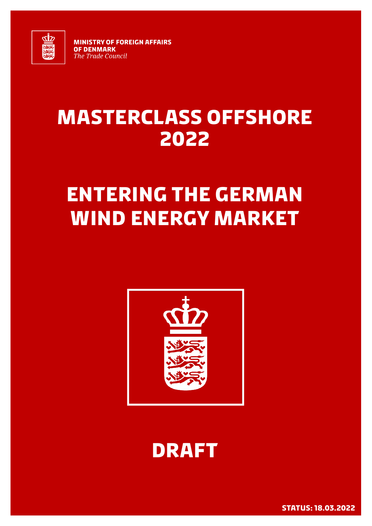

**MINISTRY OF FOREIGN AFFAIRS OF DENMARK The Trade Council** 

## **Masterclass offshore 2022**

## **Entering the German Wind energy market**





**Status: 18.03.2022 1**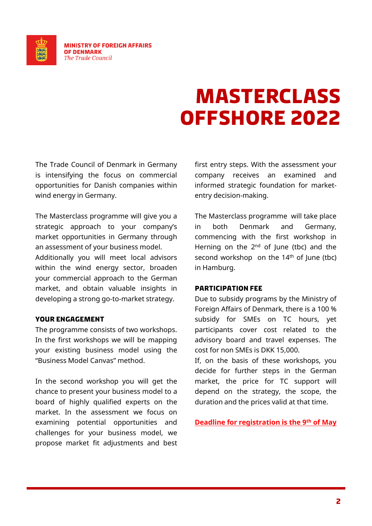

## **Masterclass offshore 2022**

The Trade Council of Denmark in Germany is intensifying the focus on commercial opportunities for Danish companies within wind energy in Germany.

The Masterclass programme will give you a strategic approach to your company's market opportunities in Germany through an assessment of your business model.

Additionally you will meet local advisors within the wind energy sector, broaden your commercial approach to the German market, and obtain valuable insights in developing a strong go-to-market strategy.

#### **Your engagement**

The programme consists of two workshops. In the first workshops we will be mapping your existing business model using the "Business Model Canvas" method.

In the second workshop you will get the chance to present your business model to a board of highly qualified experts on the market. In the assessment we focus on examining potential opportunities and challenges for your business model, we propose market fit adjustments and best first entry steps. With the assessment your company receives an examined and informed strategic foundation for marketentry decision-making.

The Masterclass programme will take place in both Denmark and Germany, commencing with the first workshop in Herning on the  $2<sup>nd</sup>$  of June (tbc) and the second workshop on the  $14<sup>th</sup>$  of June (tbc) in Hamburg.

#### **Participation fee**

Due to subsidy programs by the Ministry of Foreign Affairs of Denmark, there is a 100 % subsidy for SMEs on TC hours, yet participants cover cost related to the advisory board and travel expenses. The cost for non SMEs is DKK 15,000.

If, on the basis of these workshops, you decide for further steps in the German market, the price for TC support will depend on the strategy, the scope, the duration and the prices valid at that time.

**Deadline for registration is the 9 th of May**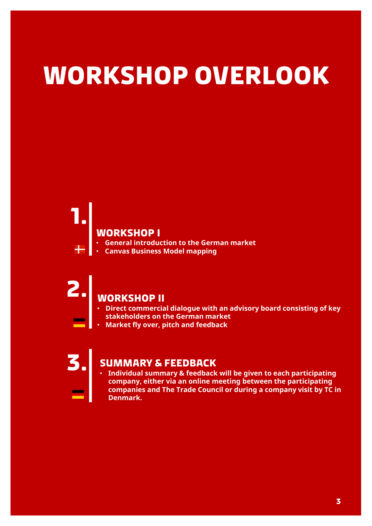# **Workshop overlook**

#### **Workshop I**

- **General introduction to the German market**
- **Canvas Business Model mapping**

**1.**

## **2. Workshop II**

- **Direct commercial dialogue with an advisory board consisting of key stakeholders on the German market**
- **Market fly over, pitch and feedback**

#### **3. Summary & Feedback**

• **Individual summary & feedback will be given to each participating company, either via an online meeting between the participating companies and The Trade Council or during a company visit by TC in Denmark.**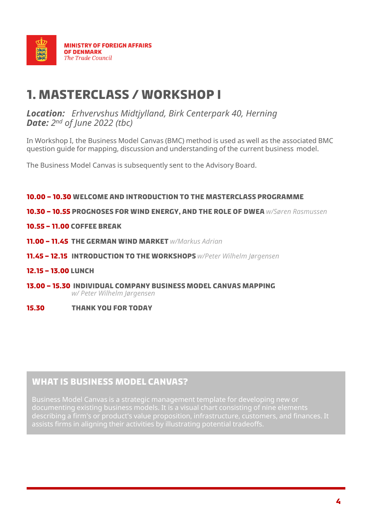

### **1. Masterclass / Workshop I**

#### *Location: Erhvervshus Midtjylland, Birk Centerpark 40, Herning Date: 2 nd of June 2022 (tbc)*

In Workshop I, the Business Model Canvas (BMC) method is used as well as the associated BMC question guide for mapping, discussion and understanding of the current business model.

The Business Model Canvas is subsequently sent to the Advisory Board.

#### **10.00 – 10.30 Welcome and introduction to the MasterClass programme**

**10.30 – 10.55 Prognoses for wind energy, and the role of DWEA** *w/Søren Rasmussen*

#### **10.55 – 11.00 Coffee Break**

- **11.00 – 11.45 The German wind market** *w/Markus Adrian*
- **11.45 – 12.15 Introduction to the workshops** *w/Peter Wilhelm Jørgensen*

#### **12.15 – 13.00 Lunch**

**13.00 – 15.30 Individual company Business Model Canvas mapping**  *w/ Peter Wilhelm Jørgensen*

#### **15.30 Thank you for today**

#### **What is Business Model Canvas?**

Business Model Canvas is a strategic management template for developing new or documenting existing business models. It is a visual chart consisting of nine elements describing a firm's or product's value proposition, infrastructure, customers, and finances. It assists firms in aligning their activities by illustrating potential tradeoffs.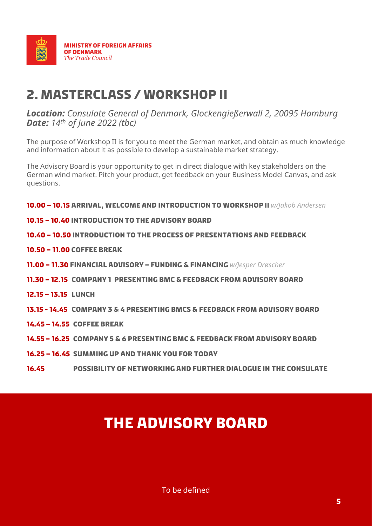

### **2. Masterclass / Workshop II**

*Location: Consulate General of Denmark, Glockengießerwall 2, 20095 Hamburg Date: 14th of June 2022 (tbc)* 

The purpose of Workshop II is for you to meet the German market, and obtain as much knowledge and information about it as possible to develop a sustainable market strategy.

The Advisory Board is your opportunity to get in direct dialogue with key stakeholders on the German wind market. Pitch your product, get feedback on your Business Model Canvas, and ask questions.

**10.00 – 10.15 Arrival, welcome and introduction to workshop II** *w/Jakob Andersen*

- **10.15 – 10.40 Introduction to the Advisory Board**
- **10.40 – 10.50 Introduction to the process of presentations and feedback**
- **10.50 – 11.00 Coffee Break**
- **11.00 – 11.30 Financial advisory – Funding & Financing** *w/Jesper Drøscher*
- **11.30 – 12.15 Company 1 presenting BMC & feedback from Advisory Board**
- **12.15 – 13.15 Lunch**
- **13.15 - 14.45 Company 3 & 4 presenting BMCs & feedback from Advisory Board**
- **14.45 – 14.55 Coffee break**
- **14.55 – 16.25 Company 5 & 6 presenting BMC & feedback from Advisory Board**
- **16.25 – 16.45 summing up and Thank you for today**
- **16.45 possibility of networking and further Dialogue in the Consulate**

### **The Advisory Board**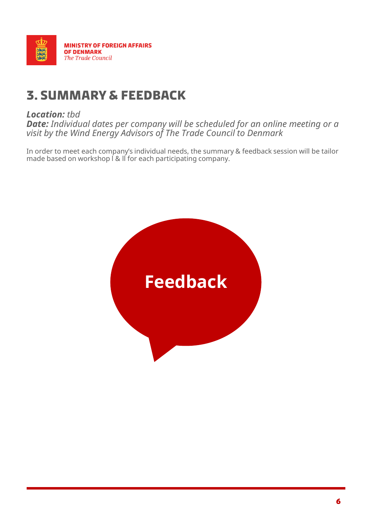

### **3. Summary & feedback**

#### *Location: tbd*

*Date: Individual dates per company will be scheduled for an online meeting or a visit by the Wind Energy Advisors of The Trade Council to Denmark*

In order to meet each company's individual needs, the summary & feedback session will be tailor made based on workshop l & ll for each participating company.

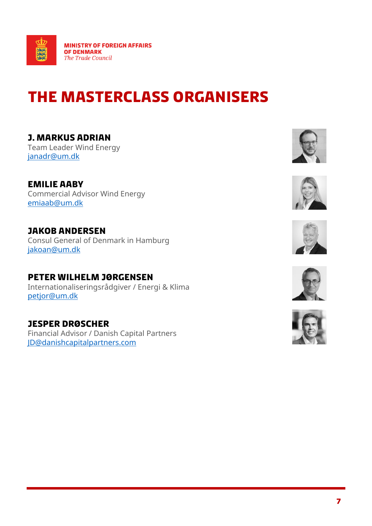

## **The masterClass Organisers**

**J. Markus ADrian** Team Leader Wind Energy [janadr@um.dk](mailto:janadr@um.dk)

**Emilie aaby** Commercial Advisor Wind Energy [emiaab@um.dk](mailto:emiaab@um.dk)

**Jakob Andersen** Consul General of Denmark in Hamburg [jakoan@um.dk](mailto:jakoan@um.dk)

**Peter Wilhelm Jørgensen** Internationaliseringsrådgiver / Energi & Klima [petjor@um.dk](mailto:petjor@um.dk)

**Jesper Drøscher** Financial Advisor / Danish Capital Partners [JD@danishcapitalpartners.com](mailto:JD@danishcapitalpartners.com)